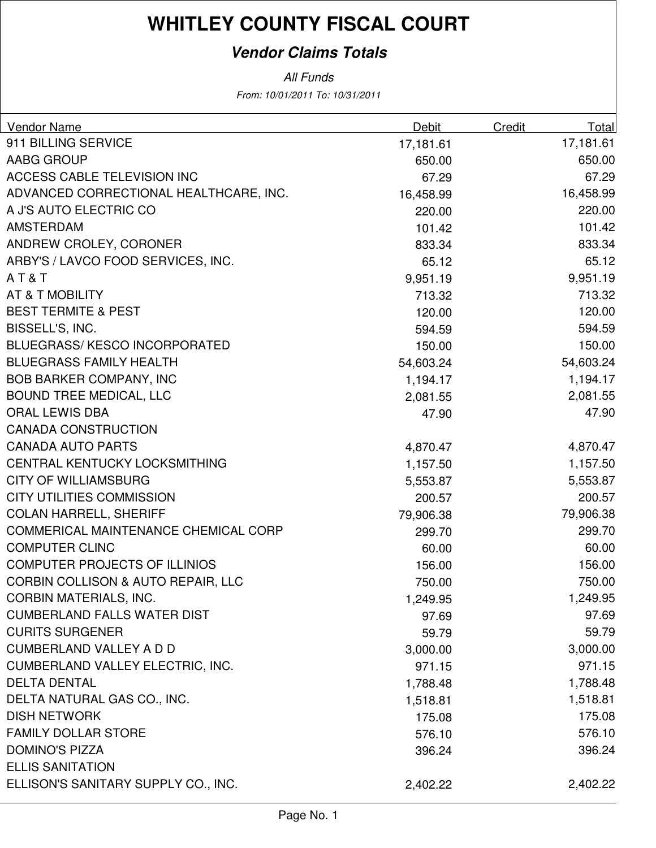### **Vendor Claims Totals**

| Vendor Name                                   | Debit     | <b>Credit</b> | Total     |
|-----------------------------------------------|-----------|---------------|-----------|
| 911 BILLING SERVICE                           | 17,181.61 |               | 17,181.61 |
| AABG GROUP                                    | 650.00    |               | 650.00    |
| ACCESS CABLE TELEVISION INC                   | 67.29     |               | 67.29     |
| ADVANCED CORRECTIONAL HEALTHCARE, INC.        | 16,458.99 |               | 16,458.99 |
| A J'S AUTO ELECTRIC CO                        | 220.00    |               | 220.00    |
| <b>AMSTERDAM</b>                              | 101.42    |               | 101.42    |
| ANDREW CROLEY, CORONER                        | 833.34    |               | 833.34    |
| ARBY'S / LAVCO FOOD SERVICES, INC.            | 65.12     |               | 65.12     |
| AT&T                                          | 9,951.19  |               | 9,951.19  |
| <b>AT &amp; T MOBILITY</b>                    | 713.32    |               | 713.32    |
| <b>BEST TERMITE &amp; PEST</b>                | 120.00    |               | 120.00    |
| BISSELL'S, INC.                               | 594.59    |               | 594.59    |
| <b>BLUEGRASS/KESCO INCORPORATED</b>           | 150.00    |               | 150.00    |
| <b>BLUEGRASS FAMILY HEALTH</b>                | 54,603.24 |               | 54,603.24 |
| <b>BOB BARKER COMPANY, INC</b>                | 1,194.17  |               | 1,194.17  |
| <b>BOUND TREE MEDICAL, LLC</b>                | 2,081.55  |               | 2,081.55  |
| <b>ORAL LEWIS DBA</b>                         | 47.90     |               | 47.90     |
| <b>CANADA CONSTRUCTION</b>                    |           |               |           |
| <b>CANADA AUTO PARTS</b>                      | 4,870.47  |               | 4,870.47  |
| CENTRAL KENTUCKY LOCKSMITHING                 | 1,157.50  |               | 1,157.50  |
| <b>CITY OF WILLIAMSBURG</b>                   | 5,553.87  |               | 5,553.87  |
| <b>CITY UTILITIES COMMISSION</b>              | 200.57    |               | 200.57    |
| <b>COLAN HARRELL, SHERIFF</b>                 | 79,906.38 |               | 79,906.38 |
| <b>COMMERICAL MAINTENANCE CHEMICAL CORP</b>   | 299.70    |               | 299.70    |
| <b>COMPUTER CLINC</b>                         | 60.00     |               | 60.00     |
| <b>COMPUTER PROJECTS OF ILLINIOS</b>          | 156.00    |               | 156.00    |
| <b>CORBIN COLLISON &amp; AUTO REPAIR, LLC</b> | 750.00    |               | 750.00    |
| <b>CORBIN MATERIALS, INC.</b>                 | 1,249.95  |               | 1,249.95  |
| <b>CUMBERLAND FALLS WATER DIST</b>            | 97.69     |               | 97.69     |
| <b>CURITS SURGENER</b>                        | 59.79     |               | 59.79     |
| <b>CUMBERLAND VALLEY A D D</b>                | 3,000.00  |               | 3,000.00  |
| CUMBERLAND VALLEY ELECTRIC, INC.              | 971.15    |               | 971.15    |
| <b>DELTA DENTAL</b>                           | 1,788.48  |               | 1,788.48  |
| DELTA NATURAL GAS CO., INC.                   | 1,518.81  |               | 1,518.81  |
| <b>DISH NETWORK</b>                           | 175.08    |               | 175.08    |
| <b>FAMILY DOLLAR STORE</b>                    | 576.10    |               | 576.10    |
| <b>DOMINO'S PIZZA</b>                         | 396.24    |               | 396.24    |
| <b>ELLIS SANITATION</b>                       |           |               |           |
| ELLISON'S SANITARY SUPPLY CO., INC.           | 2,402.22  |               | 2,402.22  |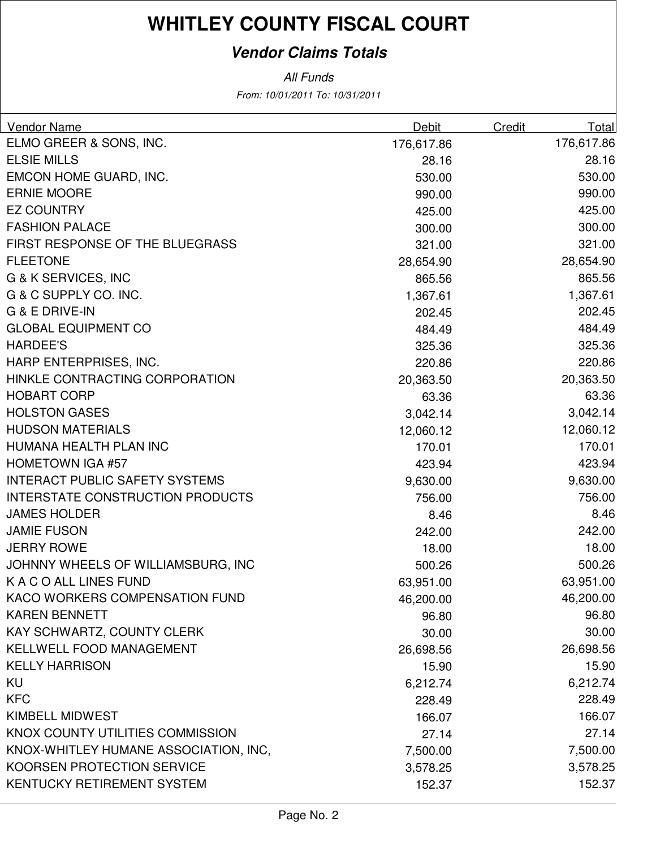### **Vendor Claims Totals**

| <b>Vendor Name</b>                      | <b>Debit</b> | <b>Credit</b> | Total      |
|-----------------------------------------|--------------|---------------|------------|
| ELMO GREER & SONS, INC.                 | 176,617.86   |               | 176,617.86 |
| <b>ELSIE MILLS</b>                      | 28.16        |               | 28.16      |
| EMCON HOME GUARD, INC.                  | 530.00       |               | 530.00     |
| <b>ERNIE MOORE</b>                      | 990.00       |               | 990.00     |
| <b>EZ COUNTRY</b>                       | 425.00       |               | 425.00     |
| <b>FASHION PALACE</b>                   | 300.00       |               | 300.00     |
| FIRST RESPONSE OF THE BLUEGRASS         | 321.00       |               | 321.00     |
| <b>FLEETONE</b>                         | 28,654.90    |               | 28,654.90  |
| G & K SERVICES, INC                     | 865.56       |               | 865.56     |
| G & C SUPPLY CO. INC.                   | 1,367.61     |               | 1,367.61   |
| G & E DRIVE-IN                          | 202.45       |               | 202.45     |
| <b>GLOBAL EQUIPMENT CO</b>              | 484.49       |               | 484.49     |
| <b>HARDEE'S</b>                         | 325.36       |               | 325.36     |
| HARP ENTERPRISES, INC.                  | 220.86       |               | 220.86     |
| HINKLE CONTRACTING CORPORATION          | 20,363.50    |               | 20,363.50  |
| <b>HOBART CORP</b>                      | 63.36        |               | 63.36      |
| <b>HOLSTON GASES</b>                    | 3,042.14     |               | 3,042.14   |
| <b>HUDSON MATERIALS</b>                 | 12,060.12    |               | 12,060.12  |
| HUMANA HEALTH PLAN INC                  | 170.01       |               | 170.01     |
| <b>HOMETOWN IGA #57</b>                 | 423.94       |               | 423.94     |
| <b>INTERACT PUBLIC SAFETY SYSTEMS</b>   | 9,630.00     |               | 9,630.00   |
| <b>INTERSTATE CONSTRUCTION PRODUCTS</b> | 756.00       |               | 756.00     |
| <b>JAMES HOLDER</b>                     | 8.46         |               | 8.46       |
| <b>JAMIE FUSON</b>                      | 242.00       |               | 242.00     |
| <b>JERRY ROWE</b>                       | 18.00        |               | 18.00      |
| JOHNNY WHEELS OF WILLIAMSBURG, INC      | 500.26       |               | 500.26     |
| K A C O ALL LINES FUND                  | 63,951.00    |               | 63,951.00  |
| KACO WORKERS COMPENSATION FUND          | 46,200.00    |               | 46,200.00  |
| <b>KAREN BENNETT</b>                    | 96.80        |               | 96.80      |
| KAY SCHWARTZ, COUNTY CLERK              | 30.00        |               | 30.00      |
| <b>KELLWELL FOOD MANAGEMENT</b>         | 26,698.56    |               | 26,698.56  |
| <b>KELLY HARRISON</b>                   | 15.90        |               | 15.90      |
| KU                                      | 6,212.74     |               | 6,212.74   |
| <b>KFC</b>                              | 228.49       |               | 228.49     |
| <b>KIMBELL MIDWEST</b>                  | 166.07       |               | 166.07     |
| KNOX COUNTY UTILITIES COMMISSION        | 27.14        |               | 27.14      |
| KNOX-WHITLEY HUMANE ASSOCIATION, INC,   | 7,500.00     |               | 7,500.00   |
| KOORSEN PROTECTION SERVICE              | 3,578.25     |               | 3,578.25   |
| KENTUCKY RETIREMENT SYSTEM              | 152.37       |               | 152.37     |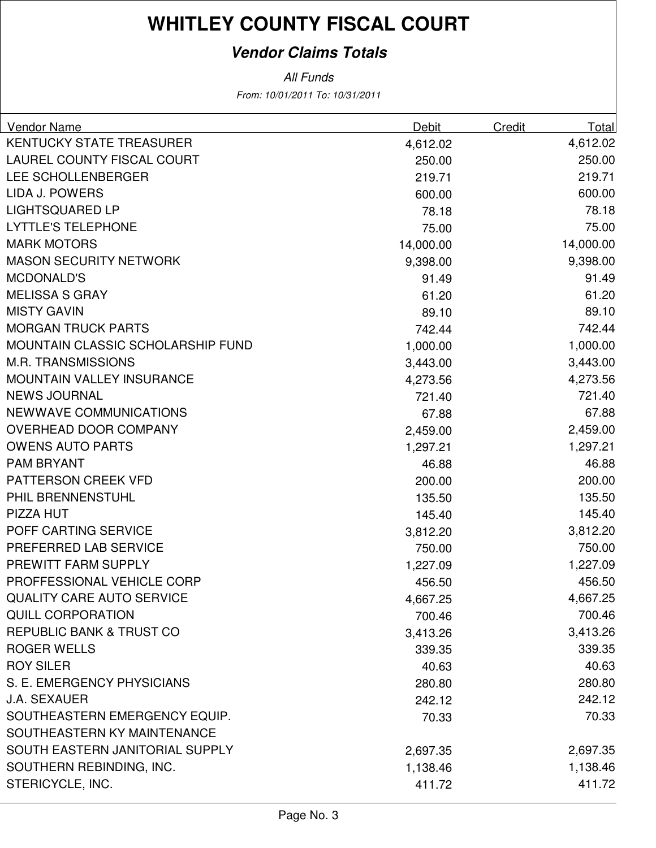### **Vendor Claims Totals**

| <b>Vendor Name</b>                | Debit     | Credit | Total     |
|-----------------------------------|-----------|--------|-----------|
| <b>KENTUCKY STATE TREASURER</b>   | 4,612.02  |        | 4,612.02  |
| LAUREL COUNTY FISCAL COURT        | 250.00    |        | 250.00    |
| LEE SCHOLLENBERGER                | 219.71    |        | 219.71    |
| <b>LIDA J. POWERS</b>             | 600.00    |        | 600.00    |
| <b>LIGHTSQUARED LP</b>            | 78.18     |        | 78.18     |
| <b>LYTTLE'S TELEPHONE</b>         | 75.00     |        | 75.00     |
| <b>MARK MOTORS</b>                | 14,000.00 |        | 14,000.00 |
| <b>MASON SECURITY NETWORK</b>     | 9,398.00  |        | 9,398.00  |
| <b>MCDONALD'S</b>                 | 91.49     |        | 91.49     |
| <b>MELISSA S GRAY</b>             | 61.20     |        | 61.20     |
| <b>MISTY GAVIN</b>                | 89.10     |        | 89.10     |
| <b>MORGAN TRUCK PARTS</b>         | 742.44    |        | 742.44    |
| MOUNTAIN CLASSIC SCHOLARSHIP FUND | 1,000.00  |        | 1,000.00  |
| <b>M.R. TRANSMISSIONS</b>         | 3,443.00  |        | 3,443.00  |
| MOUNTAIN VALLEY INSURANCE         | 4,273.56  |        | 4,273.56  |
| <b>NEWS JOURNAL</b>               | 721.40    |        | 721.40    |
| <b>NEWWAVE COMMUNICATIONS</b>     | 67.88     |        | 67.88     |
| OVERHEAD DOOR COMPANY             | 2,459.00  |        | 2,459.00  |
| <b>OWENS AUTO PARTS</b>           | 1,297.21  |        | 1,297.21  |
| <b>PAM BRYANT</b>                 | 46.88     |        | 46.88     |
| <b>PATTERSON CREEK VFD</b>        | 200.00    |        | 200.00    |
| PHIL BRENNENSTUHL                 | 135.50    |        | 135.50    |
| PIZZA HUT                         | 145.40    |        | 145.40    |
| POFF CARTING SERVICE              | 3,812.20  |        | 3,812.20  |
| PREFERRED LAB SERVICE             | 750.00    |        | 750.00    |
| PREWITT FARM SUPPLY               | 1,227.09  |        | 1,227.09  |
| PROFFESSIONAL VEHICLE CORP        | 456.50    |        | 456.50    |
| <b>QUALITY CARE AUTO SERVICE</b>  | 4,667.25  |        | 4,667.25  |
| <b>QUILL CORPORATION</b>          | 700.46    |        | 700.46    |
| REPUBLIC BANK & TRUST CO          | 3,413.26  |        | 3,413.26  |
| <b>ROGER WELLS</b>                | 339.35    |        | 339.35    |
| <b>ROY SILER</b>                  | 40.63     |        | 40.63     |
| S. E. EMERGENCY PHYSICIANS        | 280.80    |        | 280.80    |
| <b>J.A. SEXAUER</b>               | 242.12    |        | 242.12    |
| SOUTHEASTERN EMERGENCY EQUIP.     | 70.33     |        | 70.33     |
| SOUTHEASTERN KY MAINTENANCE       |           |        |           |
| SOUTH EASTERN JANITORIAL SUPPLY   | 2,697.35  |        | 2,697.35  |
| SOUTHERN REBINDING, INC.          | 1,138.46  |        | 1,138.46  |
| STERICYCLE, INC.                  | 411.72    |        | 411.72    |